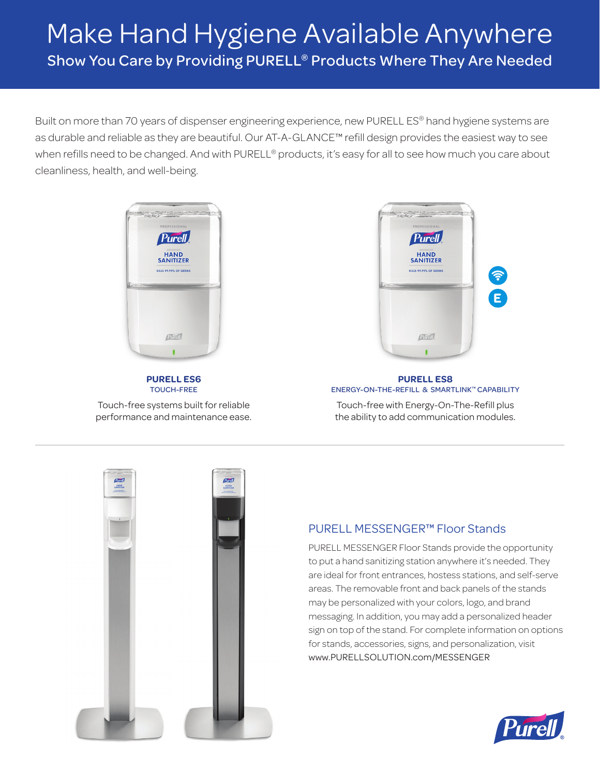# Make Hand Hygiene Available Anywhere Show You Care by Providing PURELL® Products Where They Are Needed

Built on more than 70 years of dispenser engineering experience, new PURELL ES® hand hygiene systems are as durable and reliable as they are beautiful. Our AT-A-GLANCE™ refill design provides the easiest way to see when refills need to be changed. And with PURELL® products, it's easy for all to see how much you care about cleanliness, health, and well-being.



**PURELL ES6**  TOUCH-FREE

Touch-free systems built for reliable performance and maintenance ease.



#### **PURELL ES8**  ENERGY-ON-THE-REFILL & SMARTLINK™ CAPABILITY

Touch-free with Energy-On-The-Refill plus the ability to add communication modules.



### PURELL MESSENGER™ Floor Stands

PURELL MESSENGER Floor Stands provide the opportunity to put a hand sanitizing station anywhere it's needed. They are ideal for front entrances, hostess stations, and self-serve areas. The removable front and back panels of the stands may be personalized with your colors, logo, and brand messaging. In addition, you may add a personalized header sign on top of the stand. For complete information on options for stands, accessories, signs, and personalization, visit www.PURELLSOLUTION.com/MESSENGER